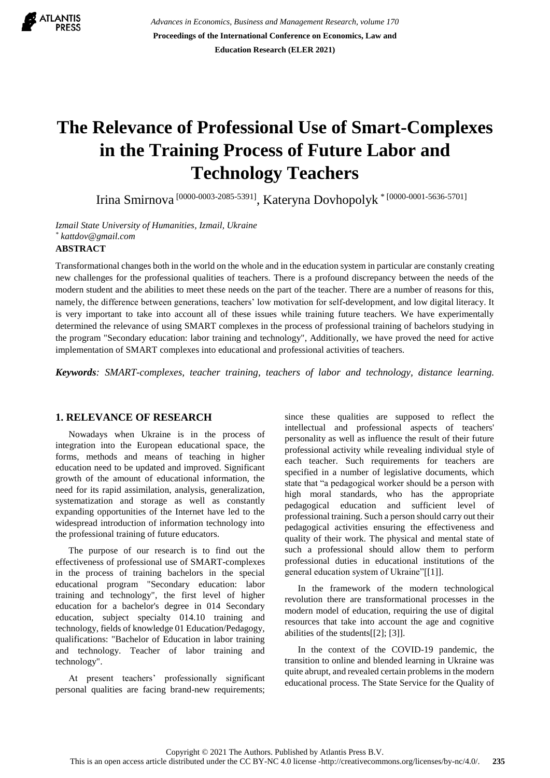

*Advances in Economics, Business and Management Research, volume 170* **Proceedings of the International Conference on Economics, Law and Education Research (ELER 2021)**

# **The Relevance of Professional Use of Smart-Complexes in the Training Process of Future Labor and Technology Teachers**

Irina Smirnova [0000-0003-2085-5391] , Kateryna Dovhopolyk \* [0000-0001-5636-5701]

*Izmail State University of Humanities, Izmail, Ukraine \* [kattdov@gmail.com](mailto:kattdov@gmail.com)*

## **ABSTRACT**

Transformational changes both in the world on the whole and in the education system in particular are constanly creating new challenges for the professional qualities of teachers. There is a profound discrepancy between the needs of the modern student and the abilities to meet these needs on the part of the teacher. There are a number of reasons for this, namely, the difference between generations, teachers' low motivation for self-development, and low digital literacy. It is very important to take into account all of these issues while training future teachers. We have experimentally determined the relevance of using SMART complexes in the process of professional training of bachelors studying in the program "Secondary education: labor training and technology", Additionally, we have proved the need for active implementation of SMART complexes into educational and professional activities of teachers.

*Keywords: SMART-complexes, teacher training, teachers of labor and technology, distance learning.*

#### **1. RELEVANCE OF RESEARCH**

Nowadays when Ukraine is in the process of integration into the European educational space, the forms, methods and means of teaching in higher education need to be updated and improved. Significant growth of the amount of educational information, the need for its rapid assimilation, analysis, generalization, systematization and storage as well as constantly expanding opportunities of the Internet have led to the widespread introduction of information technology into the professional training of future educators.

The purpose of our research is to find out the effectiveness of professional use of SMART-complexes in the process of training bachelors in the special educational program "Secondary education: labor training and technology", the first level of higher education for a bachelor's degree in 014 Secondary education, subject specialty 014.10 training and technology, fields of knowledge 01 Education/Pedagogy, qualifications: "Bachelor of Education in labor training and technology. Teacher of labor training and technology".

At present teachers' professionally significant personal qualities are facing brand-new requirements; since these qualities are supposed to reflect the intellectual and professional aspects of teachers' personality as well as influence the result of their future professional activity while revealing individual style of each teacher. Such requirements for teachers are specified in a number of legislative documents, which state that "a pedagogical worker should be a person with high moral standards, who has the appropriate pedagogical education and sufficient level of professional training. Such a person should carry out their pedagogical activities ensuring the effectiveness and quality of their work. The physical and mental state of such a professional should allow them to perform professional duties in educational institutions of the general education system of Ukraine"[\[\[1\]\]](#page-6-0).

In the framework of the modern technological revolution there are transformational processes in the modern model of education, requiring the use of digital resources that take into account the age and cognitive abilities of the students[\[\[2\];](#page-6-1) [\[3\]\]](#page-6-2).

In the context of the COVID-19 pandemic, the transition to online and blended learning in Ukraine was quite abrupt, and revealed certain problems in the modern educational process. The State Service for the Quality of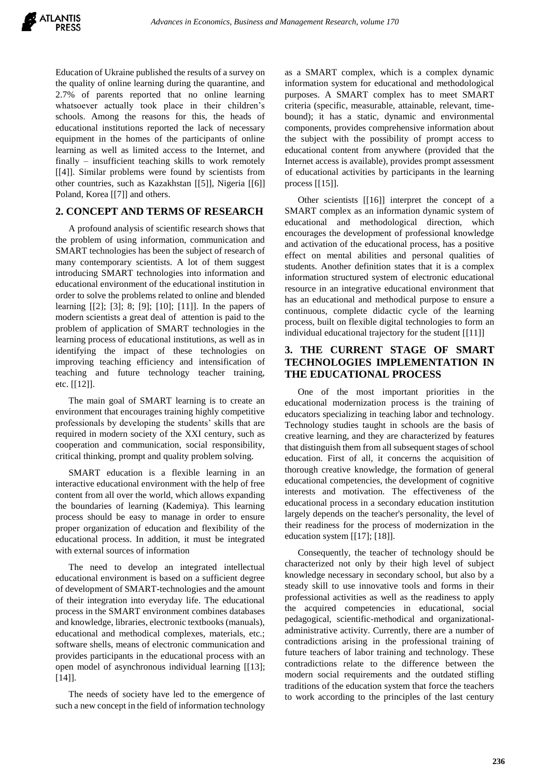Education of Ukraine published the results of a survey on the quality of online learning during the quarantine, and 2.7% of parents reported that no online learning whatsoever actually took place in their children's schools. Among the reasons for this, the heads of educational institutions reported the lack of necessary equipment in the homes of the participants of online learning as well as limited access to the Internet, and finally – insufficient teaching skills to work remotely [\[\[4\]\]](#page-6-3). Similar problems were found by scientists from other countries, such as Kazakhstan [\[\[5\]\]](#page-6-4), Nigeria [\[\[6\]\]](#page-6-5) Poland, Korea [\[\[7\]\]](#page-6-6) and others.

# **2. CONCEPT AND TERMS OF RESEARCH**

A profound analysis of scientific research shows that the problem of using information, communication and SMART technologies has been the subject of research of many contemporary scientists. A lot of them suggest introducing SMART technologies into information and educational environment of the educational institution in order to solve the problems related to online and blended learning [\[\[2\];](#page-6-1) [\[3\];](#page-6-2) 8; [\[9\];](#page-6-7) [\[10\];](#page-6-8) [\[11\]\]](#page-6-9). In the papers of modern scientists a great deal of attention is paid to the problem of application of SMART technologies in the learning process of educational institutions, as well as in identifying the impact of these technologies on improving teaching efficiency and intensification of teaching and future technology teacher training, etc. [\[\[12\]\]](#page-6-10).

The main goal of SMART learning is to create an environment that encourages training highly competitive professionals by developing the students' skills that are required in modern society of the XXI century, such as cooperation and communication, social responsibility, critical thinking, prompt and quality problem solving.

SMART education is a flexible learning in an interactive educational environment with the help of free content from all over the world, which allows expanding the boundaries of learning (Kademiya). This learning process should be easy to manage in order to ensure proper organization of education and flexibility of the educational process. In addition, it must be integrated with external sources of information

The need to develop an integrated intellectual educational environment is based on a sufficient degree of development of SMART-technologies and the amount of their integration into everyday life. The educational process in the SMART environment combines databases and knowledge, libraries, electronic textbooks (manuals), educational and methodical complexes, materials, etc.; software shells, means of electronic communication and provides participants in the educational process with an open model of asynchronous individual learning [\[\[13\];](#page-6-11) [\[14\]\]](#page-7-0).

The needs of society have led to the emergence of such a new concept in the field of information technology

as a SMART complex, which is a complex dynamic information system for educational and methodological purposes. A SMART complex has to meet SMART criteria (specific, measurable, attainable, relevant, timebound); it has a static, dynamic and environmental components, provides comprehensive information about the subject with the possibility of prompt access to educational content from anywhere (provided that the Internet access is available), provides prompt assessment of educational activities by participants in the learning process [\[\[15\]\]](#page-7-1).

Other scientists [\[\[16\]\]](#page-7-2) interpret the concept of a SMART complex as an information dynamic system of educational and methodological direction, which encourages the development of professional knowledge and activation of the educational process, has a positive effect on mental abilities and personal qualities of students. Another definition states that it is a complex information structured system of electronic educational resource in an integrative educational environment that has an educational and methodical purpose to ensure a continuous, complete didactic cycle of the learning process, built on flexible digital technologies to form an individual educational trajectory for the student [\[\[11\]\]](#page-6-9)

# **3. THE CURRENT STAGE OF SMART TECHNOLOGIES IMPLEMENTATION IN THE EDUCATIONAL PROCESS**

One of the most important priorities in the educational modernization process is the training of educators specializing in teaching labor and technology. Technology studies taught in schools are the basis of creative learning, and they are characterized by features that distinguish them from all subsequent stages of school education. First of all, it concerns the acquisition of thorough creative knowledge, the formation of general educational competencies, the development of cognitive interests and motivation. The effectiveness of the educational process in a secondary education institution largely depends on the teacher's personality, the level of their readiness for the process of modernization in the education system [\[\[17\];](#page-7-3) [\[18\]\]](#page-7-4).

Consequently, the teacher of technology should be characterized not only by their high level of subject knowledge necessary in secondary school, but also by a steady skill to use innovative tools and forms in their professional activities as well as the readiness to apply the acquired competencies in educational, social pedagogical, scientific-methodical and organizationaladministrative activity. Currently, there are a number of contradictions arising in the professional training of future teachers of labor training and technology. These contradictions relate to the difference between the modern social requirements and the outdated stifling traditions of the education system that force the teachers to work according to the principles of the last century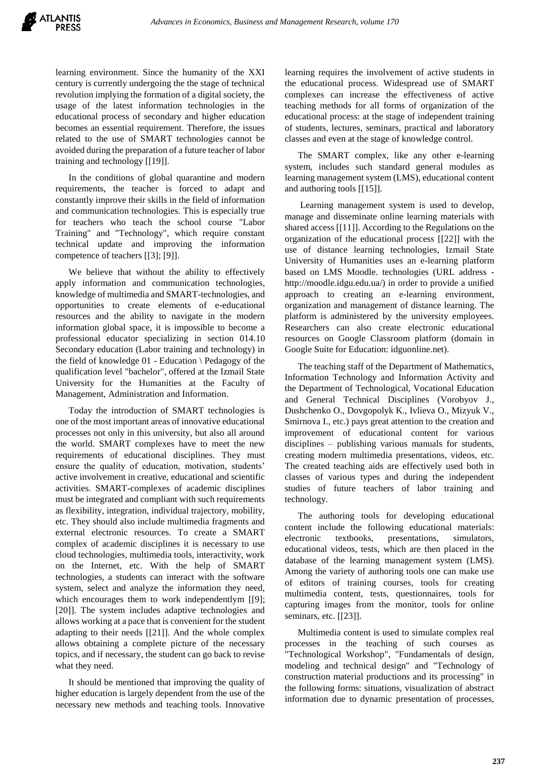learning environment. Since the humanity of the XXI century is currently undergoing the the stage of technical revolution implying the formation of a digital society, the usage of the latest information technologies in the educational process of secondary and higher education becomes an essential requirement. Therefore, the issues related to the use of SMART technologies cannot be avoided during the preparation of a future teacher of labor training and technology [\[\[19\]\]](#page-7-5).

In the conditions of global quarantine and modern requirements, the teacher is forced to adapt and constantly improve their skills in the field of information and communication technologies. This is especially true for teachers who teach the school course "Labor Training" and "Technology", which require constant technical update and improving the information competence of teachers [\[\[3\];](#page-6-2) [\[9\]\]](#page-6-7).

We believe that without the ability to effectively apply information and communication technologies, knowledge of multimedia and SMART-technologies, and opportunities to create elements of e-educational resources and the ability to navigate in the modern information global space, it is impossible to become a professional educator specializing in section 014.10 Secondary education (Labor training and technology) in the field of knowledge 01 - Education \ Pedagogy of the qualification level "bachelor", offered at the Izmail State University for the Humanities at the Faculty of Management, Administration and Information.

Today the introduction of SMART technologies is one of the most important areas of innovative educational processes not only in this university, but also all around the world. SMART complexes have to meet the new requirements of educational disciplines. They must ensure the quality of education, motivation, students' active involvement in creative, educational and scientific activities. SMART-complexes of academic disciplines must be integrated and compliant with such requirements as flexibility, integration, individual trajectory, mobility, etc. They should also include multimedia fragments and external electronic resources. To create a SMART complex of academic disciplines it is necessary to use cloud technologies, multimedia tools, interactivity, work on the Internet, etc. With the help of SMART technologies, a students can interact with the software system, select and analyze the information they need, which encourages them to work independentlym [\[\[9\];](#page-6-7) [\[20\]\]](#page-7-6). The system includes adaptive technologies and allows working at a pace that is convenient for the student adapting to their needs [\[\[21\]\]](#page-7-7). And the whole complex allows obtaining a complete picture of the necessary topics, and if necessary, the student can go back to revise what they need.

It should be mentioned that improving the quality of higher education is largely dependent from the use of the necessary new methods and teaching tools. Innovative learning requires the involvement of active students in the educational process. Widespread use of SMART complexes can increase the effectiveness of active teaching methods for all forms of organization of the educational process: at the stage of independent training of students, lectures, seminars, practical and laboratory classes and even at the stage of knowledge control.

The SMART complex, like any other e-learning system, includes such standard general modules as learning management system (LMS), educational content and authoring tools [\[\[15\]\]](#page-7-1).

Learning management system is used to develop, manage and disseminate online learning materials with shared access [\[\[11\]\]](#page-6-9). According to the Regulations on the organization of the educational process [\[\[22\]\]](#page-7-8) with the use of distance learning technologies, Izmail State University of Humanities uses an e-learning platform based on LMS Moodle. technologies (URL address http://moodle.idgu.edu.ua/) in order to provide a unified approach to creating an e-learning environment, organization and management of distance learning. The platform is administered by the university employees. Researchers can also create electronic educational resources on Google Classroom platform (domain in Google Suite for Education: idguonline.net).

The teaching staff of the Department of Mathematics, Information Technology and Information Activity and the Department of Technological, Vocational Education and General Technical Disciplines (Vorobyov J., Dushchenko O., Dovgopolyk K., Ivlieva O., Mizyuk V., Smirnova I., etc.) pays great attention to the creation and improvement of educational content for various disciplines – publishing various manuals for students, creating modern multimedia presentations, videos, etc. The created teaching aids are effectively used both in classes of various types and during the independent studies of future teachers of labor training and technology.

The authoring tools for developing educational content include the following educational materials: electronic textbooks, presentations, simulators, educational videos, tests, which are then placed in the database of the learning management system (LMS). Among the variety of authoring tools one can make use of editors of training courses, tools for creating multimedia content, tests, questionnaires, tools for capturing images from the monitor, tools for online seminars, etc. [\[\[23\]\]](#page-7-9).

Multimedia content is used to simulate complex real processes in the teaching of such courses as "Technological Workshop", "Fundamentals of design, modeling and technical design" and "Technology of construction material productions and its processing" in the following forms: situations, visualization of abstract information due to dynamic presentation of processes,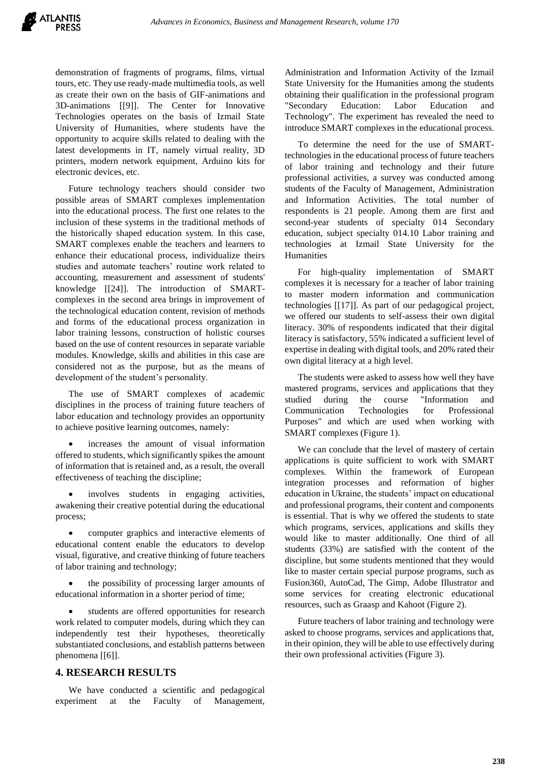demonstration of fragments of programs, films, virtual tours, etc. They use ready-made multimedia tools, as well as create their own on the basis of GIF-animations and 3D-animations [\[\[9\]\]](#page-6-7). The Center for Innovative Technologies operates on the basis of Izmail State University of Humanities, where students have the opportunity to acquire skills related to dealing with the latest developments in IT, namely virtual reality, 3D printers, modern network equipment, Arduino kits for electronic devices, etc.

Future technology teachers should consider two possible areas of SMART complexes implementation into the educational process. The first one relates to the inclusion of these systems in the traditional methods of the historically shaped education system. In this case, SMART complexes enable the teachers and learners to enhance their educational process, individualize theirs studies and automate teachers' routine work related to accounting, measurement and assessment of students' knowledge [\[\[24\]\]](#page-7-10). The introduction of SMARTcomplexes in the second area brings in improvement of the technological education content, revision of methods and forms of the educational process organization in labor training lessons, construction of holistic courses based on the use of content resources in separate variable modules. Knowledge, skills and abilities in this case are considered not as the purpose, but as the means of development of the student's personality.

The use of SMART complexes of academic disciplines in the process of training future teachers of labor education and technology provides an opportunity to achieve positive learning outcomes, namely:

 increases the amount of visual information offered to students, which significantly spikes the amount of information that is retained and, as a result, the overall effectiveness of teaching the discipline;

 involves students in engaging activities, awakening their creative potential during the educational process;

 computer graphics and interactive elements of educational content enable the educators to develop visual, figurative, and creative thinking of future teachers of labor training and technology;

 the possibility of processing larger amounts of educational information in a shorter period of time;

 students are offered opportunities for research work related to computer models, during which they can independently test their hypotheses, theoretically substantiated conclusions, and establish patterns between phenomena [\[\[6\]\]](#page-6-5).

# **4. RESEARCH RESULTS**

We have conducted a scientific and pedagogical experiment at the Faculty of Management,

Administration and Information Activity of the Izmail State University for the Humanities among the students obtaining their qualification in the professional program "Secondary Education: Labor Education and Technology". The experiment has revealed the need to introduce SMART complexes in the educational process.

To determine the need for the use of SMARTtechnologies in the educational process of future teachers of labor training and technology and their future professional activities, a survey was conducted among students of the Faculty of Management, Administration and Information Activities. The total number of respondents is 21 people. Among them are first and second-year students of specialty 014 Secondary education, subject specialty 014.10 Labor training and technologies at Izmail State University for the Humanities

For high-quality implementation of SMART complexes it is necessary for a teacher of labor training to master modern information and communication technologies [\[\[17\]\]](#page-7-3). As part of our pedagogical project, we offered our students to self-assess their own digital literacy. 30% of respondents indicated that their digital literacy is satisfactory, 55% indicated a sufficient level of expertise in dealing with digital tools, and 20% rated their own digital literacy at a high level.

The students were asked to assess how well they have mastered programs, services and applications that they studied during the course "Information and Communication Technologies for Professional Purposes" and which are used when working with SMART complexes (Figure 1).

We can conclude that the level of mastery of certain applications is quite sufficient to work with SMART complexes. Within the framework of European integration processes and reformation of higher education in Ukraine, the students' impact on educational and professional programs, their content and components is essential. That is why we offered the students to state which programs, services, applications and skills they would like to master additionally. One third of all students (33%) are satisfied with the content of the discipline, but some students mentioned that they would like to master certain special purpose programs, such as Fusion360, AutoCad, The Gimp, Adobe Illustrator and some services for creating electronic educational resources, such as Graasp and Kahoot (Figure 2).

Future teachers of labor training and technology were asked to choose programs, services and applications that, in their opinion, they will be able to use effectively during their own professional activities (Figure 3).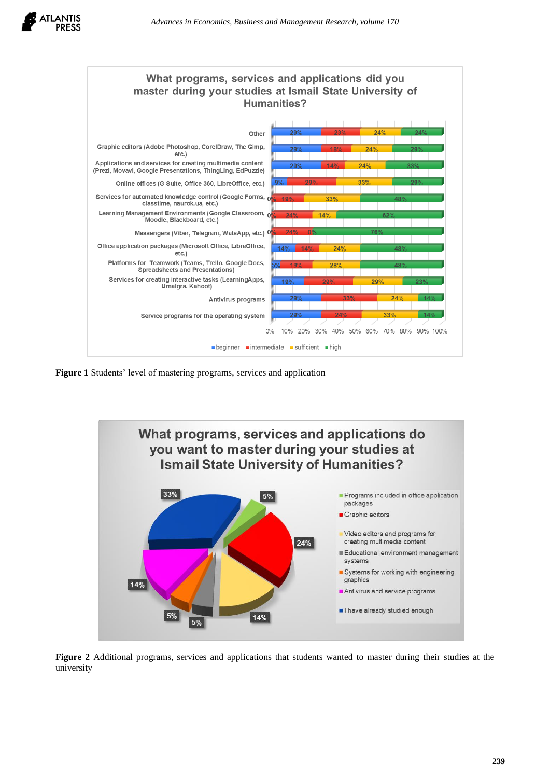



**Figure 1** Students' level of mastering programs, services and application



**Figure 2** Additional programs, services and applications that students wanted to master during their studies at the university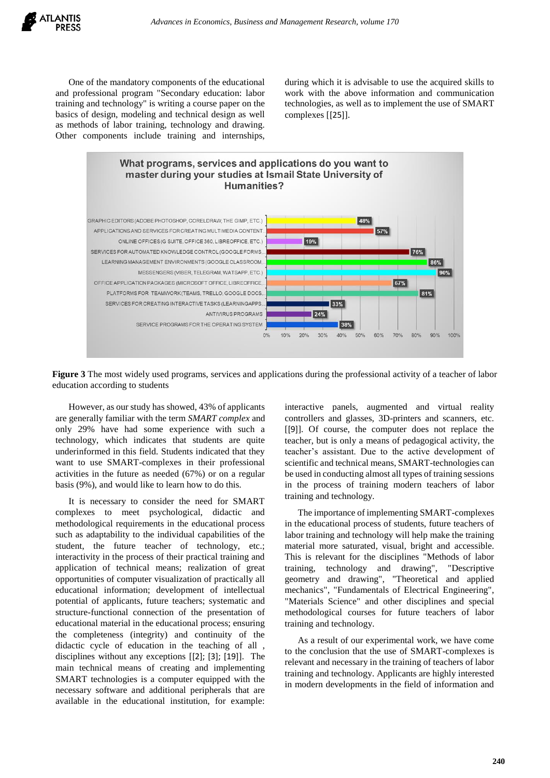

One of the mandatory components of the educational and professional program "Secondary education: labor training and technology" is writing a course paper on the basics of design, modeling and technical design as well as methods of labor training, technology and drawing. Other components include training and internships, during which it is advisable to use the acquired skills to work with the above information and communication technologies, as well as to implement the use of SMART complexes [[\[25\]](#page-7-11)].



**Figure 3** The most widely used programs, services and applications during the professional activity of a teacher of labor education according to students

However, as our study has showed, 43% of applicants are generally familiar with the term *SMART complex* and only 29% have had some experience with such a technology, which indicates that students are quite underinformed in this field. Students indicated that they want to use SMART-complexes in their professional activities in the future as needed (67%) or on a regular basis (9%), and would like to learn how to do this.

It is necessary to consider the need for SMART complexes to meet psychological, didactic and methodological requirements in the educational process such as adaptability to the individual capabilities of the student, the future teacher of technology, etc.; interactivity in the process of their practical training and application of technical means; realization of great opportunities of computer visualization of practically all educational information; development of intellectual potential of applicants, future teachers; systematic and structure-functional connection of the presentation of educational material in the educational process; ensuring the completeness (integrity) and continuity of the didactic cycle of education in the teaching of all , disciplines without any exceptions [[\[2\];](#page-6-1) [\[3\];](#page-6-2) [\[19\]](#page-7-5)]. The main technical means of creating and implementing SMART technologies is a computer equipped with the necessary software and additional peripherals that are available in the educational institution, for example: interactive panels, augmented and virtual reality controllers and glasses, 3D-printers and scanners, etc. [[\[9\]](#page-6-7)]. Of course, the computer does not replace the teacher, but is only a means of pedagogical activity, the teacher's assistant. Due to the active development of scientific and technical means, SMART-technologies can be used in conducting almost all types of training sessions in the process of training modern teachers of labor training and technology.

The importance of implementing SMART-complexes in the educational process of students, future teachers of labor training and technology will help make the training material more saturated, visual, bright and accessible. This is relevant for the disciplines "Methods of labor training, technology and drawing", "Descriptive geometry and drawing", "Theoretical and applied mechanics", "Fundamentals of Electrical Engineering", "Materials Science" and other disciplines and special methodological courses for future teachers of labor training and technology.

As a result of our experimental work, we have come to the conclusion that the use of SMART-complexes is relevant and necessary in the training of teachers of labor training and technology. Applicants are highly interested in modern developments in the field of information and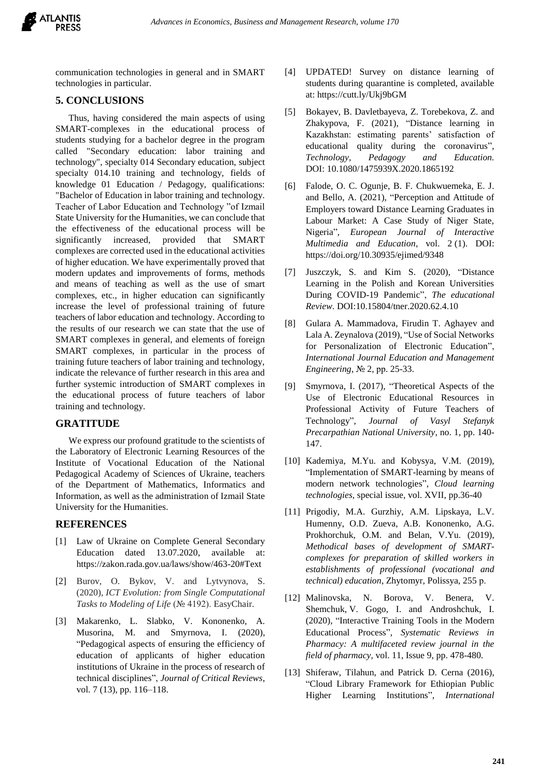

communication technologies in general and in SMART technologies in particular.

## **5. CONCLUSIONS**

Thus, having considered the main aspects of using SMART-complexes in the educational process of students studying for a bachelor degree in the program called "Secondary education: labor training and technology", specialty 014 Secondary education, subject specialty 014.10 training and technology, fields of knowledge 01 Education / Pedagogy, qualifications: "Bachelor of Education in labor training and technology. Teacher of Labor Education and Technology "of Izmail State University for the Humanities, we can conclude that the effectiveness of the educational process will be significantly increased, provided that SMART complexes are corrected used in the educational activities of higher education. We have experimentally proved that modern updates and improvements of forms, methods and means of teaching as well as the use of smart complexes, etc., in higher education can significantly increase the level of professional training of future teachers of labor education and technology. According to the results of our research we can state that the use of SMART complexes in general, and elements of foreign SMART complexes, in particular in the process of training future teachers of labor training and technology, indicate the relevance of further research in this area and further systemic introduction of SMART complexes in the educational process of future teachers of labor training and technology.

#### **GRATITUDE**

We express our profound gratitude to the scientists of the Laboratory of Electronic Learning Resources of the Institute of Vocational Education of the National Pedagogical Academy of Sciences of Ukraine, teachers of the Department of Mathematics, Informatics and Information, as well as the administration of Izmail State University for the Humanities.

#### **REFERENCES**

- <span id="page-6-0"></span>[1] Law of Ukraine on Complete General Secondary Education dated 13.07.2020, available at: https://zakon.rada.gov.ua/laws/show/463-20#Text
- <span id="page-6-1"></span>[2] Burov, O. Bykov, V. and Lytvynova, S. (2020), *ICT Evolution: from Single Computational Tasks to Modeling of Life* (№ 4192). EasyChair.
- <span id="page-6-2"></span>[3] Makarenko, L. Slabko, V. Kononenko, A. Musorina, M. and Smyrnova, I. (2020), "Pedagogical aspects of ensuring the efficiency of education of applicants of higher education institutions of Ukraine in the process of research of technical disciplines", *Journal of Critical Reviews*, vol. 7 (13), pp. 116–118.
- <span id="page-6-3"></span>[4] UPDATED! Survey on distance learning of students during quarantine is completed, available at:<https://cutt.ly/Ukj9bGM>
- <span id="page-6-4"></span>[5] Bokayev, B. Davletbayeva, Z. Torebekova, Z. and Zhakypova, F. (2021), "Distance learning in Kazakhstan: estimating parents' satisfaction of educational quality during the coronavirus", *Technology, Pedagogy and Education.* DOI: [10.1080/1475939X.2020.1865192](https://doi.org/10.1080/1475939X.2020.1865192)
- <span id="page-6-5"></span>[6] Falode, O. C. Ogunje, B. F. Chukwuemeka, E. J. and Bello, A. (2021), "Perception and Attitude of Employers toward Distance Learning Graduates in Labour Market: A Case Study of Niger State, Nigeria", *European Journal of Interactive Multimedia and Education*, vol. 2 (1). DOI: <https://doi.org/10.30935/ejimed/9348>
- <span id="page-6-6"></span>[7] Juszczyk, S. and Kim S. (2020), "Distance Learning in the Polish and Korean Universities During COVID-19 Pandemic", *The educational Review*. DOI:10.15804/tner.2020.62.4.10
- [8] Gulara A. Mammadova, Firudin T. Aghayev and Lala A. Zeynalova (2019), "Use of Social Networks for Personalization of Electronic Education", *International Journal Education and Management Engineering*, № 2, рр. 25-33.
- <span id="page-6-7"></span>[9] Smyrnova, I. (2017), "Theoretical Aspects of the Use of Electronic Educational Resources in Professional Activity of Future Teachers of Technology", *Journal of Vasyl Stefanyk Precarpathian National University*, no. 1, pp. 140- 147.
- <span id="page-6-8"></span>[10] Kademiya, M.Yu. and Kobysya, V.M. (2019), "Implementation of SMART-learning by means of modern network technologies", *Cloud learning technologies*, special issue, vol. XVII, pp.36-40
- <span id="page-6-9"></span>[11] Prigodiy, M.A. Gurzhiy, A.M. Lipskaya, L.V. Humenny, O.D. Zueva, A.B. Kononenko, A.G. Prokhorchuk, O.M. and Belan, V.Yu. (2019), *Methodical bases of development of SMARTcomplexes for preparation of skilled workers in establishments of professional (vocational and technical) education*, Zhytomyr, Polissya, 255 р.
- <span id="page-6-10"></span>[12] Malinovska, N. Borova, V. Benera, V. Shemchuk, V. Gogo, I. and Androshchuk, I. (2020), "Interactive Training Tools in the Modern Educational Process", *Systematic Reviews in Pharmacy: A multifaceted review journal in the field of pharmacy,* vol. 11, Issue 9, pp. 478-480.
- <span id="page-6-11"></span>[13] Shiferaw, Tilahun, and Patrick D. Cerna (2016), "Cloud Library Framework for Ethiopian Public Higher Learning Institutions", *International*